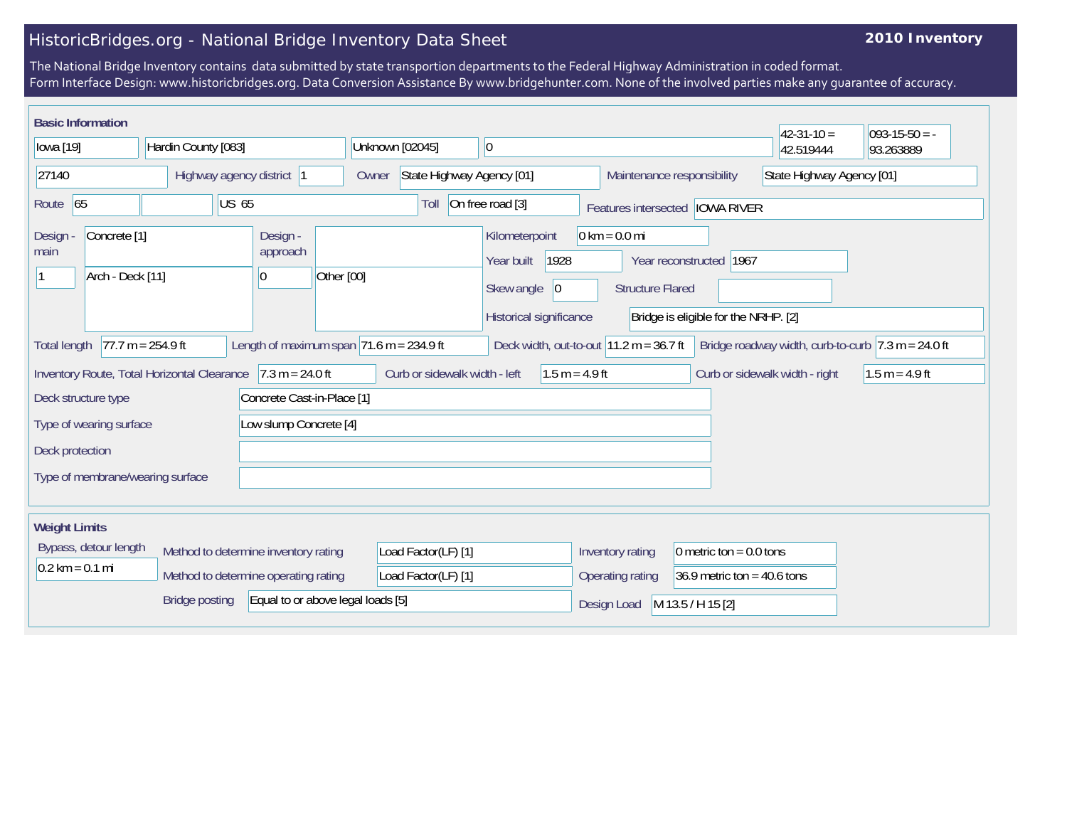## HistoricBridges.org - National Bridge Inventory Data Sheet

## **2010 Inventory**

The National Bridge Inventory contains data submitted by state transportion departments to the Federal Highway Administration in coded format. Form Interface Design: www.historicbridges.org. Data Conversion Assistance By www.bridgehunter.com. None of the involved parties make any guarantee of accuracy.

| <b>Basic Information</b>                                                                                                                                                                                                                                                                           |  |  |                                          |                               |      |                                                                                                                                                              |                                  |                  |                               |                                                         |                           |           | $42 - 31 - 10 =$ | $ 093-15-50 = -$ |
|----------------------------------------------------------------------------------------------------------------------------------------------------------------------------------------------------------------------------------------------------------------------------------------------------|--|--|------------------------------------------|-------------------------------|------|--------------------------------------------------------------------------------------------------------------------------------------------------------------|----------------------------------|------------------|-------------------------------|---------------------------------------------------------|---------------------------|-----------|------------------|------------------|
| Hardin County [083]<br>lowa [19]                                                                                                                                                                                                                                                                   |  |  |                                          | Unknown [02045]               |      |                                                                                                                                                              | $ 0\rangle$                      |                  |                               |                                                         | 42.519444                 | 93.263889 |                  |                  |
| 27140                                                                                                                                                                                                                                                                                              |  |  | Highway agency district 1                |                               |      | State Highway Agency [01]<br>Owner                                                                                                                           |                                  |                  |                               | Maintenance responsibility<br>State Highway Agency [01] |                           |           |                  |                  |
| Route 65<br><b>US 65</b>                                                                                                                                                                                                                                                                           |  |  |                                          |                               | Toll | On free road [3]                                                                                                                                             |                                  |                  |                               | Features intersected   IOWA RIVER                       |                           |           |                  |                  |
| Concrete <sup>[1]</sup><br>Design<br>main<br>Arch - Deck [11]                                                                                                                                                                                                                                      |  |  | Design -<br>approach<br>Other [00]<br> 0 |                               |      | $0 \text{ km} = 0.0 \text{ mi}$<br>Kilometerpoint<br>Year reconstructed   1967<br>1928<br>Year built<br>Skew angle<br>$ 0\rangle$<br><b>Structure Flared</b> |                                  |                  |                               |                                                         |                           |           |                  |                  |
| Historical significance<br>Bridge is eligible for the NRHP. [2]<br>Length of maximum span $71.6$ m = 234.9 ft<br>$77.7 m = 254.9 ft$<br>Deck width, out-to-out $11.2 \text{ m} = 36.7 \text{ ft}$<br>Bridge roadway width, curb-to-curb $ 7.3 \text{ m} = 24.0 \text{ ft} $<br><b>Total length</b> |  |  |                                          |                               |      |                                                                                                                                                              |                                  |                  |                               |                                                         |                           |           |                  |                  |
| Inventory Route, Total Horizontal Clearance 7.3 m = 24.0 ft                                                                                                                                                                                                                                        |  |  |                                          | Curb or sidewalk width - left |      |                                                                                                                                                              | $1.5 m = 4.9 ft$                 |                  |                               | Curb or sidewalk width - right                          | $1.5 m = 4.9 ft$          |           |                  |                  |
| Concrete Cast-in-Place [1]<br>Deck structure type                                                                                                                                                                                                                                                  |  |  |                                          |                               |      |                                                                                                                                                              |                                  |                  |                               |                                                         |                           |           |                  |                  |
| Low slump Concrete [4]<br>Type of wearing surface                                                                                                                                                                                                                                                  |  |  |                                          |                               |      |                                                                                                                                                              |                                  |                  |                               |                                                         |                           |           |                  |                  |
| Deck protection                                                                                                                                                                                                                                                                                    |  |  |                                          |                               |      |                                                                                                                                                              |                                  |                  |                               |                                                         |                           |           |                  |                  |
| Type of membrane/wearing surface                                                                                                                                                                                                                                                                   |  |  |                                          |                               |      |                                                                                                                                                              |                                  |                  |                               |                                                         |                           |           |                  |                  |
| <b>Weight Limits</b>                                                                                                                                                                                                                                                                               |  |  |                                          |                               |      |                                                                                                                                                              |                                  |                  |                               |                                                         |                           |           |                  |                  |
| Bypass, detour length                                                                                                                                                                                                                                                                              |  |  | Method to determine inventory rating     |                               |      | Load Factor(LF) [1]                                                                                                                                          |                                  |                  |                               | Inventory rating                                        | 0 metric ton = $0.0$ tons |           |                  |                  |
| $0.2$ km = 0.1 mi<br>Method to determine operating rating                                                                                                                                                                                                                                          |  |  |                                          | Load Factor(LF) [1]           |      |                                                                                                                                                              |                                  | Operating rating | 36.9 metric ton = $40.6$ tons |                                                         |                           |           |                  |                  |
| Equal to or above legal loads [5]<br><b>Bridge posting</b>                                                                                                                                                                                                                                         |  |  |                                          |                               |      |                                                                                                                                                              | M 13.5 / H 15 [2]<br>Design Load |                  |                               |                                                         |                           |           |                  |                  |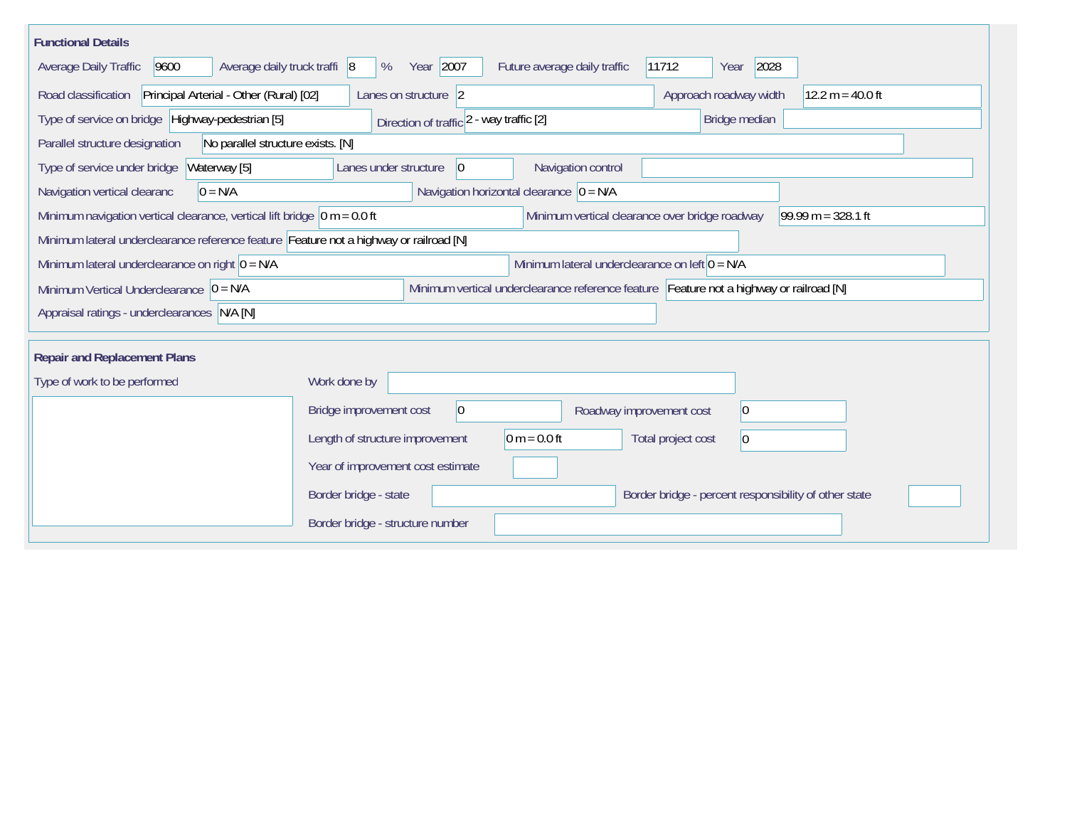| <b>Functional Details</b>                                                                                                                |                                                                                         |  |  |  |  |  |  |  |  |  |
|------------------------------------------------------------------------------------------------------------------------------------------|-----------------------------------------------------------------------------------------|--|--|--|--|--|--|--|--|--|
| Year 2007<br>2028<br>Average daily truck traffi 8<br>Future average daily traffic<br>11712<br>Average Daily Traffic<br>9600<br>%<br>Year |                                                                                         |  |  |  |  |  |  |  |  |  |
| Road classification<br>Principal Arterial - Other (Rural) [02]                                                                           | Approach roadway width<br>12.2 $m = 40.0$ ft<br>Lanes on structure 2                    |  |  |  |  |  |  |  |  |  |
| Type of service on bridge Highway-pedestrian [5]                                                                                         | Bridge median<br>Direction of traffic 2 - way traffic [2]                               |  |  |  |  |  |  |  |  |  |
| Parallel structure designation<br>No parallel structure exists. [N]                                                                      |                                                                                         |  |  |  |  |  |  |  |  |  |
| Type of service under bridge<br>Waterway [5]                                                                                             | Navigation control<br>Lanes under structure<br>10                                       |  |  |  |  |  |  |  |  |  |
| Navigation vertical clearanc<br>$0 = N/A$                                                                                                | Navigation horizontal clearance $ 0 = N/A $                                             |  |  |  |  |  |  |  |  |  |
| Minimum navigation vertical clearance, vertical lift bridge $\vert$ 0 m = 0.0 ft                                                         | Minimum vertical clearance over bridge roadway<br>$99.99 m = 328.1 ft$                  |  |  |  |  |  |  |  |  |  |
| Minimum lateral underclearance reference feature Feature not a highway or railroad [N]                                                   |                                                                                         |  |  |  |  |  |  |  |  |  |
| Minimum lateral underclearance on left $0 = N/A$<br>Minimum lateral underclearance on right $0 = N/A$                                    |                                                                                         |  |  |  |  |  |  |  |  |  |
| Minimum Vertical Underclearance $\vert 0 = N/A \vert$                                                                                    | Minimum vertical underclearance reference feature Feature not a highway or railroad [N] |  |  |  |  |  |  |  |  |  |
| Appraisal ratings - underclearances N/A [N]                                                                                              |                                                                                         |  |  |  |  |  |  |  |  |  |
| <b>Repair and Replacement Plans</b>                                                                                                      |                                                                                         |  |  |  |  |  |  |  |  |  |
| Type of work to be performed                                                                                                             | Work done by                                                                            |  |  |  |  |  |  |  |  |  |
|                                                                                                                                          | Bridge improvement cost<br> 0 <br> 0 <br>Roadway improvement cost                       |  |  |  |  |  |  |  |  |  |
|                                                                                                                                          |                                                                                         |  |  |  |  |  |  |  |  |  |
|                                                                                                                                          | $0 m = 0.0 ft$<br>Length of structure improvement<br>Total project cost<br> 0           |  |  |  |  |  |  |  |  |  |
|                                                                                                                                          | Year of improvement cost estimate                                                       |  |  |  |  |  |  |  |  |  |
|                                                                                                                                          | Border bridge - state<br>Border bridge - percent responsibility of other state          |  |  |  |  |  |  |  |  |  |
|                                                                                                                                          | Border bridge - structure number                                                        |  |  |  |  |  |  |  |  |  |